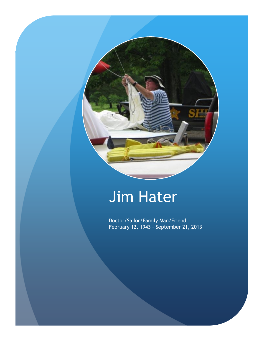

## Jim Hater

Doctor/Sailor/Family Man/Friend February 12, 1943 – September 21, 2013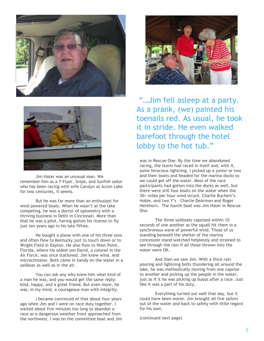



Jim Hater was an unusual man. We remember him as a Y-Flyer, Snipe, and Sunfish sailor who has been racing with wife Carolyn at Acton Lake for two centuries, it seems.

But he was far more than an enthusiast for wind powered boats. When he wasn't at the lake competing, he was a doctor of optometry with a thriving business in Delhi in Cincinnati. More than that he was a pilot, having gotten his license to fly just ten years ago in his late fifties.

He bought a plane with one of his three sons and often flew to Kentucky just to touch down or to Wright Field in Dayton. He also flew to West Point, Florida, where his oldest son David, a colonel in the Air Force, was once stationed. Jim knew wind. And microclimates. Both came in handy on the water in a sailboat as well as in the air.

You can ask any who knew him what kind of a man he was, and you would get the same reply: kind, happy, and a great friend. But even more, he was, in my mind, a courageous man with integrity.

I became convinced of that about four years ago when Jim and I were on race duty together. I waited about five minutes too long to abandon a race as a dangerous weather front approached from the northwest. I was on the committee boat and Jim



"…Jim fell asleep at a party. As a prank, (we) painted his toenails red. As usual, he took it in stride. He even walked barefoot through the hotel lobby to the hot tub."

was in Rescue One. By the time we abandoned racing, the storm had raced in itself and, with it, some ferocious lightning. I picked up a junior or two and their boats and headed for the marina docks so we could get off the water. Most of the race participants had gotten into the docks as well, but there were still four boats on the water when the 30+ miles per hour wind struck. Charlie Buchert's Hobie, and two Y's – Charlie DeArmon and Roger Henthorn. The fourth boat was Jim Hater in Rescue One.

The three sailboats capsized within 10 seconds of one another as the squall hit them in a synchronous wave of powerful wind. Those of us standing beneath the shelter of the marina concession stand watched helplessly and strained to see through the rain if all those thrown into the water were OK.

And then we saw Jim. With a thick rain pouring and lightning bolts thundering all around the lake, he was methodically moving from one capsize to another and picking up the people in the water, just as if it he was picking up buoys after a race. Just like it was a part of his duty.

Everything turned out well that day, but it could have been worse. Jim brought all five sailors out of the water and back to safety with little regard for his own.

(continued next page)